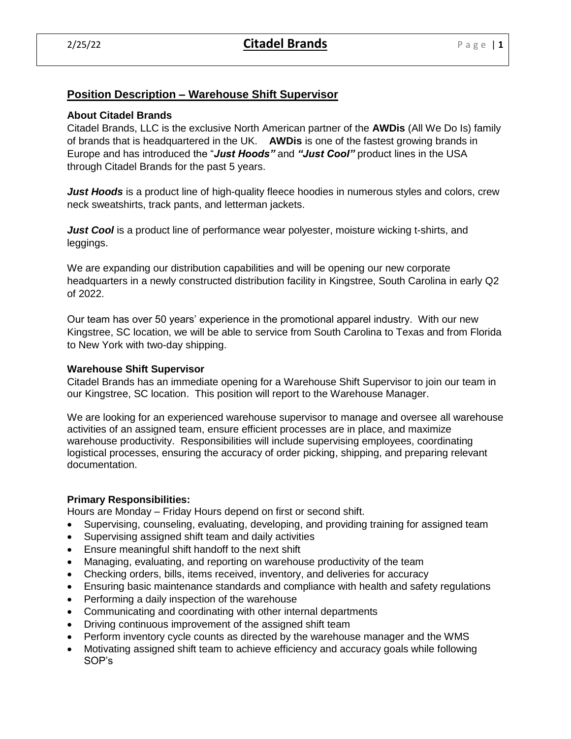# **Position Description – Warehouse Shift Supervisor**

### **About Citadel Brands**

Citadel Brands, LLC is the exclusive North American partner of the **AWDis** (All We Do Is) family of brands that is headquartered in the UK. **AWDis** is one of the fastest growing brands in Europe and has introduced the "*Just Hoods"* and *"Just Cool"* product lines in the USA through Citadel Brands for the past 5 years.

*Just Hoods* is a product line of high-quality fleece hoodies in numerous styles and colors, crew neck sweatshirts, track pants, and letterman jackets.

*Just Cool* is a product line of performance wear polyester, moisture wicking t-shirts, and leggings.

We are expanding our distribution capabilities and will be opening our new corporate headquarters in a newly constructed distribution facility in Kingstree, South Carolina in early Q2 of 2022.

Our team has over 50 years' experience in the promotional apparel industry. With our new Kingstree, SC location, we will be able to service from South Carolina to Texas and from Florida to New York with two-day shipping.

### **Warehouse Shift Supervisor**

Citadel Brands has an immediate opening for a Warehouse Shift Supervisor to join our team in our Kingstree, SC location. This position will report to the Warehouse Manager.

We are looking for an experienced warehouse supervisor to manage and oversee all warehouse activities of an assigned team, ensure efficient processes are in place, and maximize warehouse productivity. Responsibilities will include supervising employees, coordinating logistical processes, ensuring the accuracy of order picking, shipping, and preparing relevant documentation.

## **Primary Responsibilities:**

Hours are Monday – Friday Hours depend on first or second shift.

- Supervising, counseling, evaluating, developing, and providing training for assigned team
- Supervising assigned shift team and daily activities
- Ensure meaningful shift handoff to the next shift
- Managing, evaluating, and reporting on warehouse productivity of the team
- Checking orders, bills, items received, inventory, and deliveries for accuracy
- Ensuring basic maintenance standards and compliance with health and safety regulations
- Performing a daily inspection of the warehouse
- Communicating and coordinating with other internal departments
- Driving continuous improvement of the assigned shift team
- Perform inventory cycle counts as directed by the warehouse manager and the WMS
- Motivating assigned shift team to achieve efficiency and accuracy goals while following SOP's